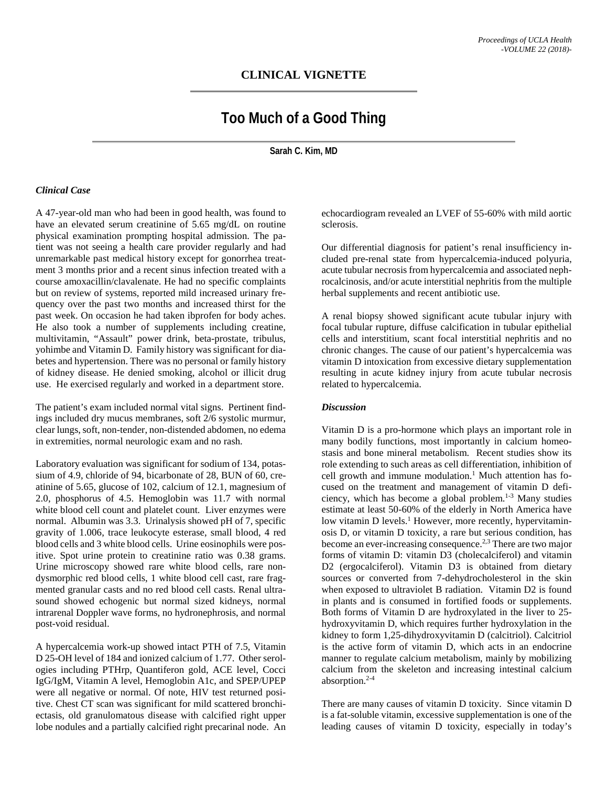# **CLINICAL VIGNETTE**

# **Too Much of a Good Thing**

**Sarah C. Kim, MD**

# *Clinical Case*

A 47-year-old man who had been in good health, was found to have an elevated serum creatinine of 5.65 mg/dL on routine physical examination prompting hospital admission. The patient was not seeing a health care provider regularly and had unremarkable past medical history except for gonorrhea treatment 3 months prior and a recent sinus infection treated with a course amoxacillin/clavalenate. He had no specific complaints but on review of systems, reported mild increased urinary frequency over the past two months and increased thirst for the past week. On occasion he had taken ibprofen for body aches. He also took a number of supplements including creatine, multivitamin, "Assault" power drink, beta-prostate, tribulus, yohimbe and Vitamin D. Family history was significant for diabetes and hypertension. There was no personal or family history of kidney disease. He denied smoking, alcohol or illicit drug use. He exercised regularly and worked in a department store.

The patient's exam included normal vital signs. Pertinent findings included dry mucus membranes, soft 2/6 systolic murmur, clear lungs, soft, non-tender, non-distended abdomen, no edema in extremities, normal neurologic exam and no rash.

Laboratory evaluation was significant for sodium of 134, potassium of 4.9, chloride of 94, bicarbonate of 28, BUN of 60, creatinine of 5.65, glucose of 102, calcium of 12.1, magnesium of 2.0, phosphorus of 4.5. Hemoglobin was 11.7 with normal white blood cell count and platelet count. Liver enzymes were normal. Albumin was 3.3. Urinalysis showed pH of 7, specific gravity of 1.006, trace leukocyte esterase, small blood, 4 red blood cells and 3 white blood cells. Urine eosinophils were positive. Spot urine protein to creatinine ratio was 0.38 grams. Urine microscopy showed rare white blood cells, rare nondysmorphic red blood cells, 1 white blood cell cast, rare fragmented granular casts and no red blood cell casts. Renal ultrasound showed echogenic but normal sized kidneys, normal intrarenal Doppler wave forms, no hydronephrosis, and normal post-void residual.

A hypercalcemia work-up showed intact PTH of 7.5, Vitamin D 25-OH level of 184 and ionized calcium of 1.77. Other serologies including PTHrp, Quantiferon gold, ACE level, Cocci IgG/IgM, Vitamin A level, Hemoglobin A1c, and SPEP/UPEP were all negative or normal. Of note, HIV test returned positive. Chest CT scan was significant for mild scattered bronchiectasis, old granulomatous disease with calcified right upper lobe nodules and a partially calcified right precarinal node. An

echocardiogram revealed an LVEF of 55-60% with mild aortic sclerosis.

Our differential diagnosis for patient's renal insufficiency included pre-renal state from hypercalcemia-induced polyuria, acute tubular necrosis from hypercalcemia and associated nephrocalcinosis, and/or acute interstitial nephritis from the multiple herbal supplements and recent antibiotic use.

A renal biopsy showed significant acute tubular injury with focal tubular rupture, diffuse calcification in tubular epithelial cells and interstitium, scant focal interstitial nephritis and no chronic changes. The cause of our patient's hypercalcemia was vitamin D intoxication from excessive dietary supplementation resulting in acute kidney injury from acute tubular necrosis related to hypercalcemia.

#### *Discussion*

Vitamin D is a pro-hormone which plays an important role in many bodily functions, most importantly in calcium homeostasis and bone mineral metabolism. Recent studies show its role extending to such areas as cell differentiation, inhibition of cell growth and immune modulation. <sup>1</sup> Much attention has focused on the treatment and management of vitamin D deficiency, which has become a global problem. 1-3 Many studies estimate at least 50-60% of the elderly in North America have low vitamin D levels.<sup>1</sup> However, more recently, hypervitaminosis D, or vitamin D toxicity, a rare but serious condition, has become an ever-increasing consequence.<sup>2,3</sup> There are two major forms of vitamin D: vitamin D3 (cholecalciferol) and vitamin D2 (ergocalciferol). Vitamin D3 is obtained from dietary sources or converted from 7-dehydrocholesterol in the skin when exposed to ultraviolet B radiation. Vitamin D2 is found in plants and is consumed in fortified foods or supplements. Both forms of Vitamin D are hydroxylated in the liver to 25 hydroxyvitamin D, which requires further hydroxylation in the kidney to form 1,25-dihydroxyvitamin D (calcitriol). Calcitriol is the active form of vitamin D, which acts in an endocrine manner to regulate calcium metabolism, mainly by mobilizing calcium from the skeleton and increasing intestinal calcium absorption. 2-4

There are many causes of vitamin D toxicity. Since vitamin D is a fat-soluble vitamin, excessive supplementation is one of the leading causes of vitamin D toxicity, especially in today's